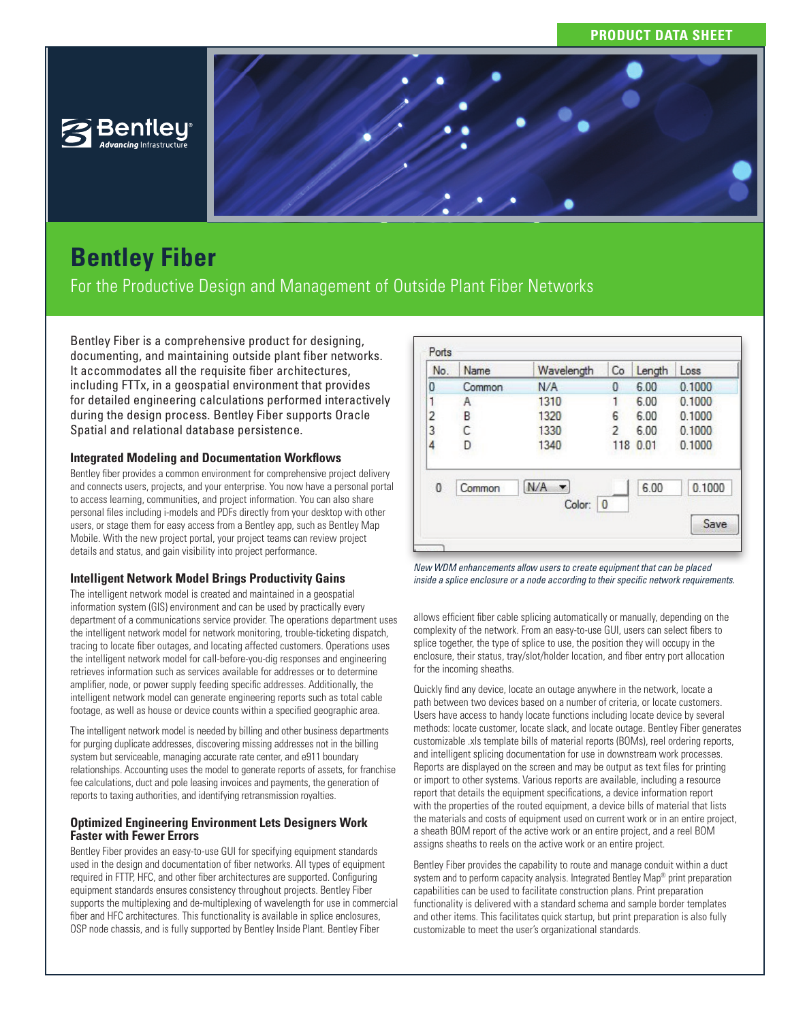# **PRODUCT DATA SHEET**



# **Bentley Fiber**

For the Productive Design and Management of Outside Plant Fiber Networks

Bentley Fiber is a comprehensive product for designing, documenting, and maintaining outside plant fiber networks. It accommodates all the requisite fiber architectures, including FTTx, in a geospatial environment that provides for detailed engineering calculations performed interactively during the design process. Bentley Fiber supports Oracle Spatial and relational database persistence.

# **Integrated Modeling and Documentation Workflows**

Bentley fiber provides a common environment for comprehensive project delivery and connects users, projects, and your enterprise. You now have a personal portal to access learning, communities, and project information. You can also share personal files including i-models and PDFs directly from your desktop with other users, or stage them for easy access from a Bentley app, such as Bentley Map Mobile. With the new project portal, your project teams can review project details and status, and gain visibility into project performance.

# **Intelligent Network Model Brings Productivity Gains**

The intelligent network model is created and maintained in a geospatial information system (GIS) environment and can be used by practically every department of a communications service provider. The operations department uses the intelligent network model for network monitoring, trouble-ticketing dispatch, tracing to locate fiber outages, and locating affected customers. Operations uses the intelligent network model for call-before-you-dig responses and engineering retrieves information such as services available for addresses or to determine amplifier, node, or power supply feeding specific addresses. Additionally, the intelligent network model can generate engineering reports such as total cable footage, as well as house or device counts within a specified geographic area.

The intelligent network model is needed by billing and other business departments for purging duplicate addresses, discovering missing addresses not in the billing system but serviceable, managing accurate rate center, and e911 boundary relationships. Accounting uses the model to generate reports of assets, for franchise fee calculations, duct and pole leasing invoices and payments, the generation of reports to taxing authorities, and identifying retransmission royalties.

## **Optimized Engineering Environment Lets Designers Work Faster with Fewer Errors**

Bentley Fiber provides an easy-to-use GUI for specifying equipment standards used in the design and documentation of fiber networks. All types of equipment required in FTTP, HFC, and other fiber architectures are supported. Configuring equipment standards ensures consistency throughout projects. Bentley Fiber supports the multiplexing and de-multiplexing of wavelength for use in commercial fiber and HFC architectures. This functionality is available in splice enclosures, OSP node chassis, and is fully supported by Bentley Inside Plant. Bentley Fiber

| No.            | Name   | Wavelength          | Co  | Length | Loss   |
|----------------|--------|---------------------|-----|--------|--------|
| 0              | Common | N/A                 | 0   | 6.00   | 0.1000 |
| 1              | Α      | 1310                |     | 6.00   | 0.1000 |
| $\overline{c}$ | B      | 1320                | 6   | 6.00   | 0.1000 |
| 3              | С      | 1330                | 2   | 6.00   | 0.1000 |
| 4              | D      | 1340                | 118 | 0.01   | 0.1000 |
| $\bf{0}$       | Common | N/A<br>Color:<br> 0 |     | 6.00   | 0.1000 |
|                |        |                     |     |        | Save   |

*New WDM enhancements allow users to create equipment that can be placed inside a splice enclosure or a node according to their specific network requirements.* 

allows efficient fiber cable splicing automatically or manually, depending on the complexity of the network. From an easy-to-use GUI, users can select fibers to splice together, the type of splice to use, the position they will occupy in the enclosure, their status, tray/slot/holder location, and fiber entry port allocation for the incoming sheaths.

Quickly find any device, locate an outage anywhere in the network, locate a path between two devices based on a number of criteria, or locate customers. Users have access to handy locate functions including locate device by several methods: locate customer, locate slack, and locate outage. Bentley Fiber generates customizable .xls template bills of material reports (BOMs), reel ordering reports, and intelligent splicing documentation for use in downstream work processes. Reports are displayed on the screen and may be output as text files for printing or import to other systems. Various reports are available, including a resource report that details the equipment specifications, a device information report with the properties of the routed equipment, a device bills of material that lists the materials and costs of equipment used on current work or in an entire project, a sheath BOM report of the active work or an entire project, and a reel BOM assigns sheaths to reels on the active work or an entire project.

Bentley Fiber provides the capability to route and manage conduit within a duct system and to perform capacity analysis. Integrated Bentley Map<sup>®</sup> print preparation capabilities can be used to facilitate construction plans. Print preparation functionality is delivered with a standard schema and sample border templates and other items. This facilitates quick startup, but print preparation is also fully customizable to meet the user's organizational standards.